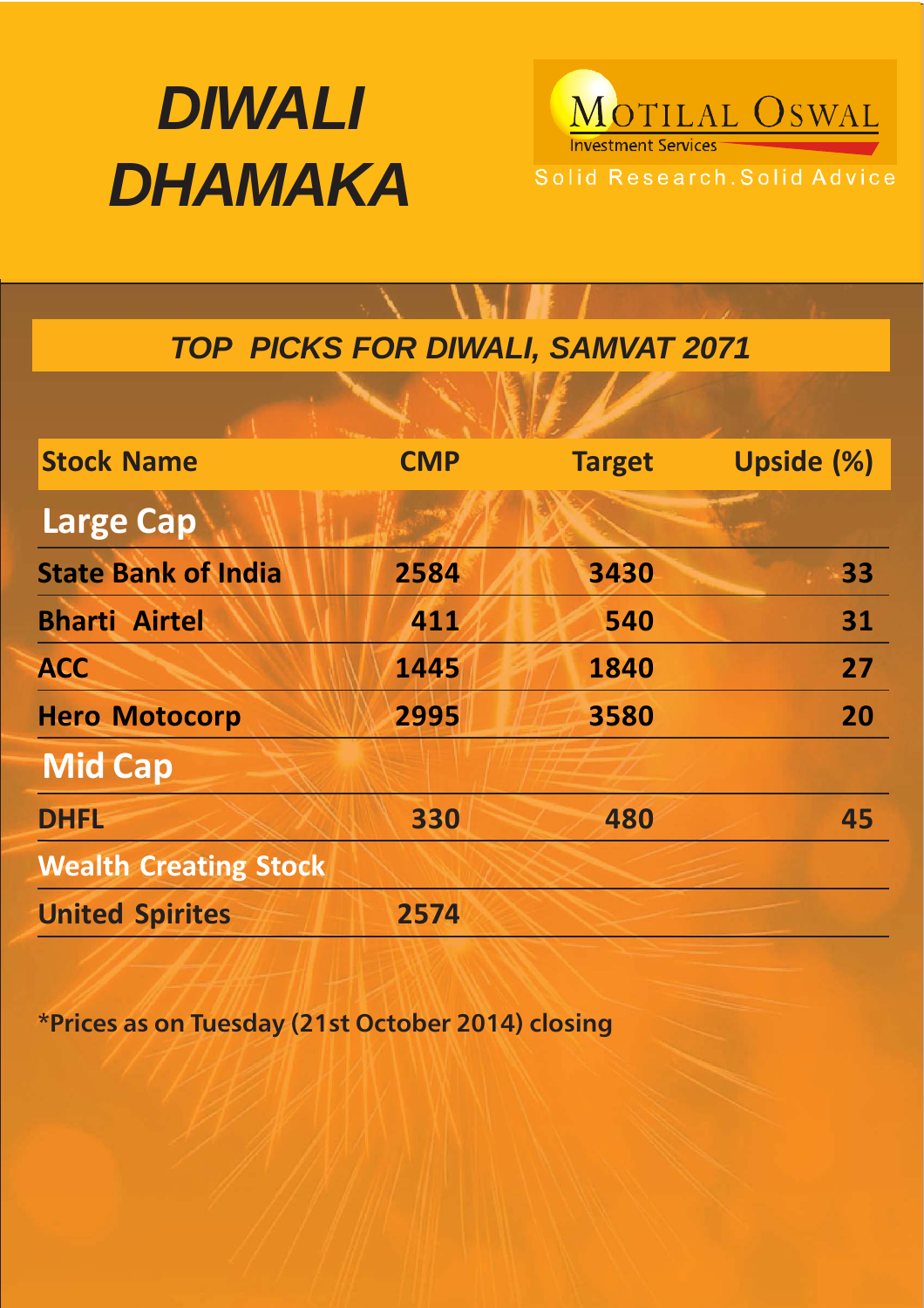

MOTILAL OSWAL Solid Research. Solid Advice

# *TOP PICKS FOR DIWALI, SAMVAT 2071*

| <b>Stock Name</b>            | <b>CMP</b> | <b>Target</b> | <b>Upside (%)</b> |
|------------------------------|------------|---------------|-------------------|
| <b>Large Cap</b>             |            |               |                   |
| <b>State Bank of India</b>   | 2584       | 3430          | 33                |
| <b>Bharti Airtel</b>         | 411        | 540           | 31                |
| <b>ACC</b>                   | 1445       | 1840          | 27                |
| <b>Hero Motocorp</b>         | 2995       | 3580          | 20                |
| <b>Mid Cap</b>               |            |               |                   |
| <b>DHFL</b>                  | 330        | 480           | 45                |
| <b>Wealth Creating Stock</b> |            |               |                   |
| <b>United Spirites</b>       | 2574       |               |                   |

**\*Prices as on Tuesday (21st October 2014) closing**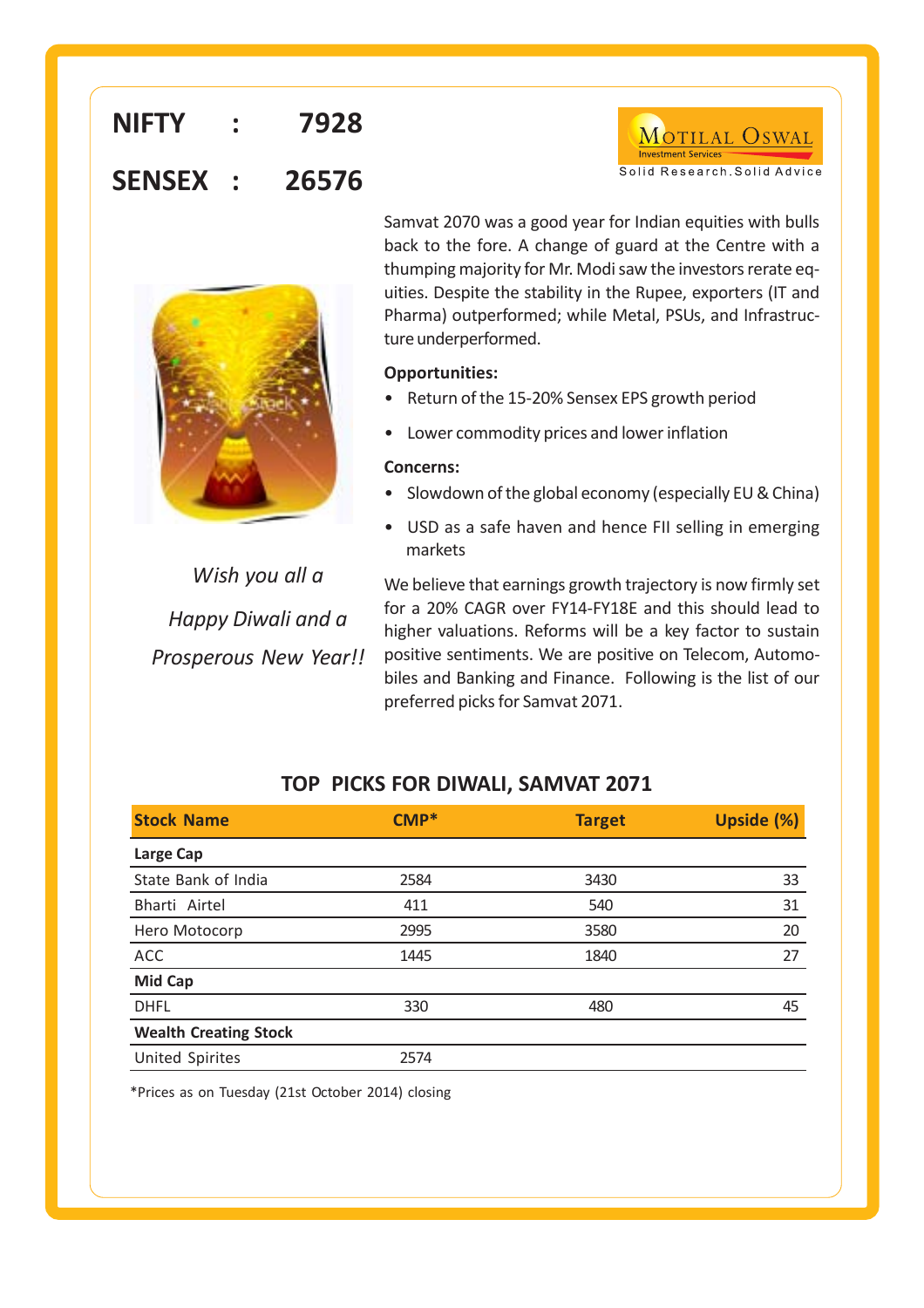# **NIFTY : 7928 SENSEX : 26576**



Samvat 2070 was a good year for Indian equities with bulls back to the fore. A change of guard at the Centre with a thumping majority for Mr. Modi saw the investors rerate equities. Despite the stability in the Rupee, exporters (IT and Pharma) outperformed; while Metal, PSUs, and Infrastructure underperformed.

MOTILAL OSWAL

Solid Research, Solid Advice

### **Opportunities:**

- Return of the 15-20% Sensex EPS growth period
- Lower commodity prices and lower inflation

### **Concerns:**

- Slowdown of the global economy (especially EU & China)
- USD as a safe haven and hence FII selling in emerging markets

*Wish you all a Happy Diwali and a Prosperous New Year!!*

We believe that earnings growth trajectory is now firmly set for a 20% CAGR over FY14-FY18E and this should lead to higher valuations. Reforms will be a key factor to sustain positive sentiments. We are positive on Telecom, Automobiles and Banking and Finance. Following is the list of our preferred picks for Samvat 2071.

### **TOP PICKS FOR DIWALI, SAMVAT 2071**

| <b>Stock Name</b>            | CMP* | <b>Target</b> | Upside (%) |
|------------------------------|------|---------------|------------|
| Large Cap                    |      |               |            |
| State Bank of India          | 2584 | 3430          | 33         |
| Bharti Airtel                | 411  | 540           | 31         |
| Hero Motocorp                | 2995 | 3580          | 20         |
| ACC                          | 1445 | 1840          | 27         |
| <b>Mid Cap</b>               |      |               |            |
| <b>DHFL</b>                  | 330  | 480           | 45         |
| <b>Wealth Creating Stock</b> |      |               |            |
| <b>United Spirites</b>       | 2574 |               |            |

\*\* \*Prices as on Tuesday (21st October 2014) closing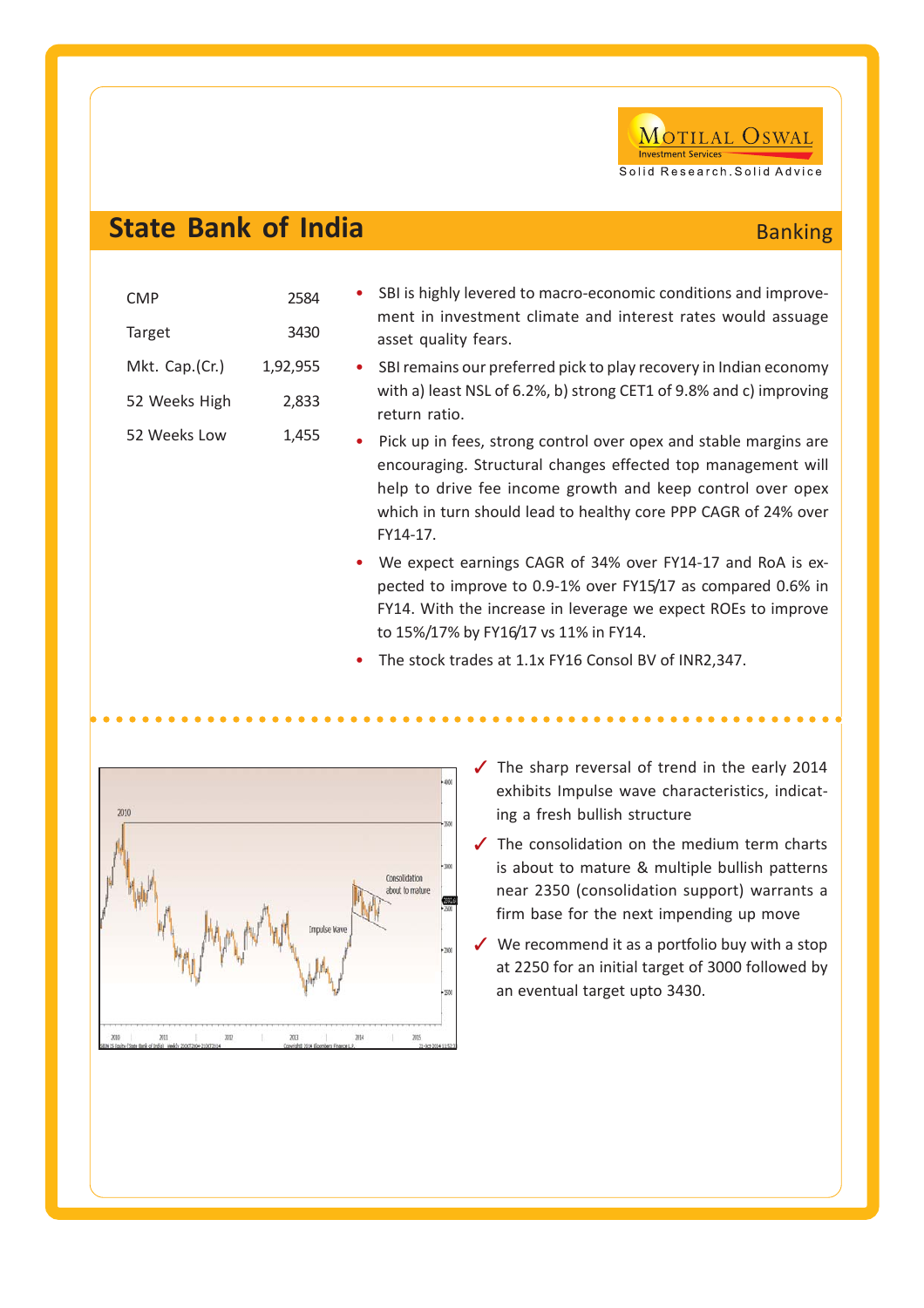

# **State Bank of India**

| <b>Banking</b> |  |
|----------------|--|
|                |  |

| <b>CMP</b><br>Target | 2584<br>3430 | SBI is highly levered to macro-economic conditions and improve-<br>ment in investment climate and interest rates would assuage<br>asset quality fears.                                                                                                                                                                                                                                                                                                                          |
|----------------------|--------------|---------------------------------------------------------------------------------------------------------------------------------------------------------------------------------------------------------------------------------------------------------------------------------------------------------------------------------------------------------------------------------------------------------------------------------------------------------------------------------|
| Mkt. Cap.(Cr.)       | 1,92,955     | • SBI remains our preferred pick to play recovery in Indian economy                                                                                                                                                                                                                                                                                                                                                                                                             |
| 52 Weeks High        | 2,833        | with a) least NSL of 6.2%, b) strong CET1 of 9.8% and c) improving<br>return ratio.                                                                                                                                                                                                                                                                                                                                                                                             |
| 52 Weeks Low         | 1,455        | • Pick up in fees, strong control over opex and stable margins are<br>encouraging. Structural changes effected top management will<br>help to drive fee income growth and keep control over opex<br>which in turn should lead to healthy core PPP CAGR of 24% over<br>FY14-17.<br>• We expect earnings CAGR of 34% over FY14-17 and RoA is ex-<br>pected to improve to 0.9-1% over FY15/17 as compared 0.6% in<br>FY14. With the increase in leverage we expect ROEs to improve |
|                      |              | to 15%/17% by FY16/17 vs 11% in FY14.                                                                                                                                                                                                                                                                                                                                                                                                                                           |

○○○○○○○○○○○○○○○○○○○○○○○○○○○ ○○○○○○○○○○○○○○○○○○○○○○○○○○○○○○○○

• The stock trades at 1.1x FY16 Consol BV of INR2,347.



- $\checkmark$  The sharp reversal of trend in the early 2014 exhibits Impulse wave characteristics, indicating a fresh bullish structure
- $\checkmark$  The consolidation on the medium term charts is about to mature & multiple bullish patterns near 2350 (consolidation support) warrants a firm base for the next impending up move
- $\checkmark$  We recommend it as a portfolio buy with a stop at 2250 for an initial target of 3000 followed by an eventual target upto 3430.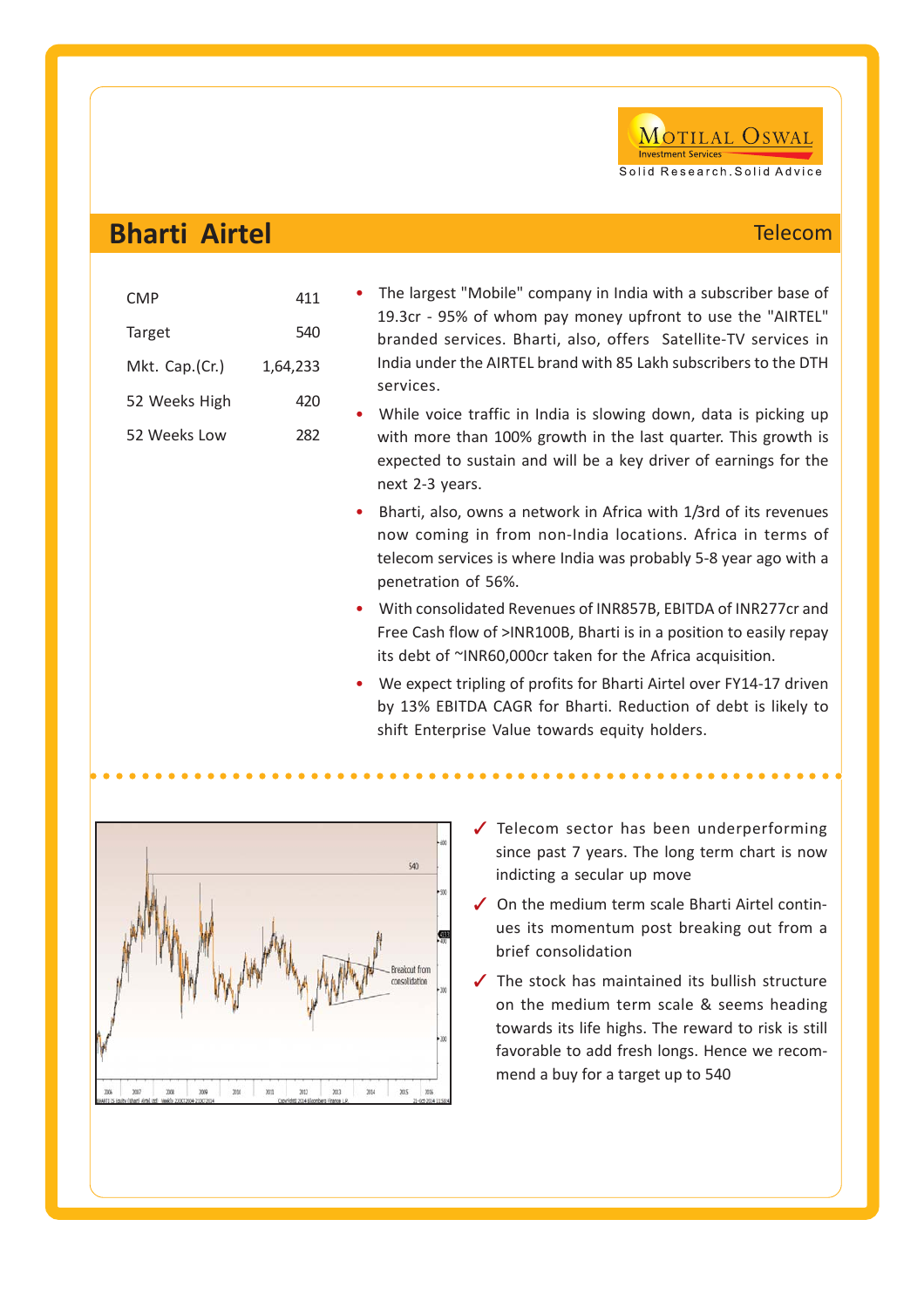### **Bharti Airtel** Telecom

| CMP            | 411      |
|----------------|----------|
| Target         | 540      |
| Mkt. Cap.(Cr.) | 1,64,233 |
| 52 Weeks High  | 420      |
| 52 Weeks Low   | 282      |
|                |          |

- The largest "Mobile" company in India with a subscriber base of 19.3cr - 95% of whom pay money upfront to use the "AIRTEL" branded services. Bharti, also, offers Satellite-TV services in India under the AIRTEL brand with 85 Lakh subscribers to the DTH services.
- While voice traffic in India is slowing down, data is picking up with more than 100% growth in the last quarter. This growth is expected to sustain and will be a key driver of earnings for the next 2-3 years.
- Bharti, also, owns a network in Africa with 1/3rd of its revenues now coming in from non-India locations. Africa in terms of telecom services is where India was probably 5-8 year ago with a penetration of 56%.
- With consolidated Revenues of INR857B, EBITDA of INR277cr and Free Cash flow of >INR100B, Bharti is in a position to easily repay its debt of ~INR60,000cr taken for the Africa acquisition.
- We expect tripling of profits for Bharti Airtel over FY14-17 driven by 13% EBITDA CAGR for Bharti. Reduction of debt is likely to shift Enterprise Value towards equity holders.

○○○○○○○○○○○○○○○○○○○○○○○○○○○ ○○○○○○○○○○○○○○○○○○○○○○○○○○○○○○○○



- $\checkmark$  Telecom sector has been underperforming since past 7 years. The long term chart is now indicting a secular up move
- $\sqrt{\phantom{a}}$  On the medium term scale Bharti Airtel continues its momentum post breaking out from a brief consolidation
- $\checkmark$  The stock has maintained its bullish structure on the medium term scale & seems heading towards its life highs. The reward to risk is still favorable to add fresh longs. Hence we recommend a buy for a target up to 540

MOTILAL OSWAL

Solid Research, Solid Advice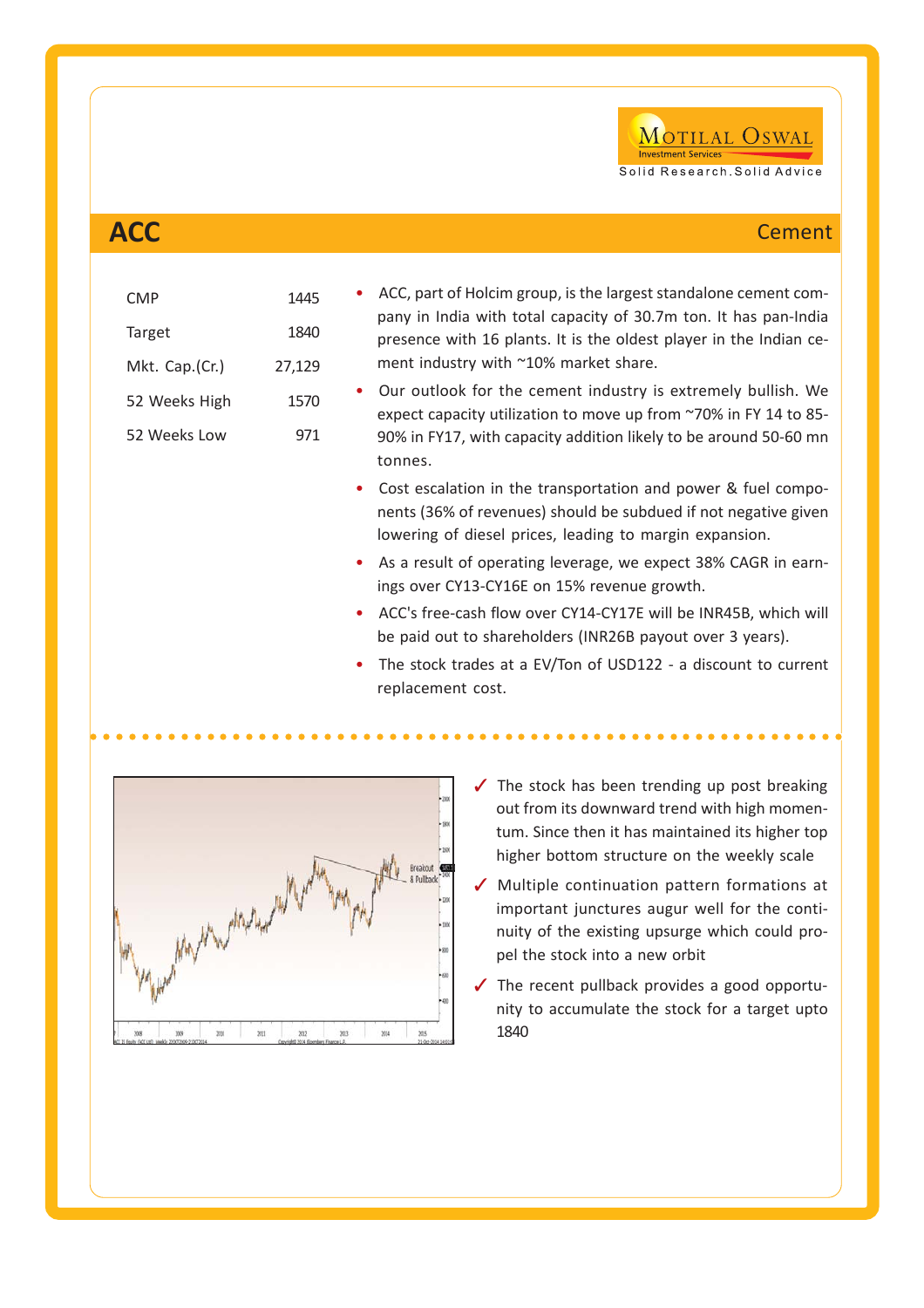

| <b>ACC</b> | <b>Cement</b> |
|------------|---------------|
|            |               |

| <b>CMP</b>     | 1445   | ACC, part of Holcim group, is the largest standalone cement com-                                                                                                                                         |
|----------------|--------|----------------------------------------------------------------------------------------------------------------------------------------------------------------------------------------------------------|
| Target         | 1840   | pany in India with total capacity of 30.7m ton. It has pan-India<br>presence with 16 plants. It is the oldest player in the Indian ce-                                                                   |
| Mkt. Cap.(Cr.) | 27,129 | ment industry with ~10% market share.                                                                                                                                                                    |
| 52 Weeks High  | 1570   | Our outlook for the cement industry is extremely bullish. We<br>expect capacity utilization to move up from ~70% in FY 14 to 85-                                                                         |
| 52 Weeks Low   | 971    | 90% in FY17, with capacity addition likely to be around 50-60 mn<br>tonnes.                                                                                                                              |
|                |        | Cost escalation in the transportation and power & fuel compo-<br>$\bullet$<br>nents (36% of revenues) should be subdued if not negative given<br>lowering of diesel prices, leading to margin expansion. |
|                |        | • As a result of operating leverage, we expect 38% CAGR in earn-<br>ings over CY13-CY16E on 15% revenue growth.                                                                                          |
|                |        | ACC's free-cash flow over CY14-CY17E will be INR45B, which will<br>$\bullet$<br>be paid out to shareholders (INR26B payout over 3 years).                                                                |
|                |        | The stock trades at a EV/Ton of USD122 - a discount to current<br>replacement cost.                                                                                                                      |

○○○○○○○○○○○○○○○○○○○○○○○○○○○ ○○○○○○○○○○○○○○○○○○○○○○○○○○○○○○○○



- $\checkmark$  The stock has been trending up post breaking out from its downward trend with high momentum. Since then it has maintained its higher top higher bottom structure on the weekly scale
- $\checkmark$  Multiple continuation pattern formations at important junctures augur well for the continuity of the existing upsurge which could propel the stock into a new orbit
- $\checkmark$  The recent pullback provides a good opportunity to accumulate the stock for a target upto 1840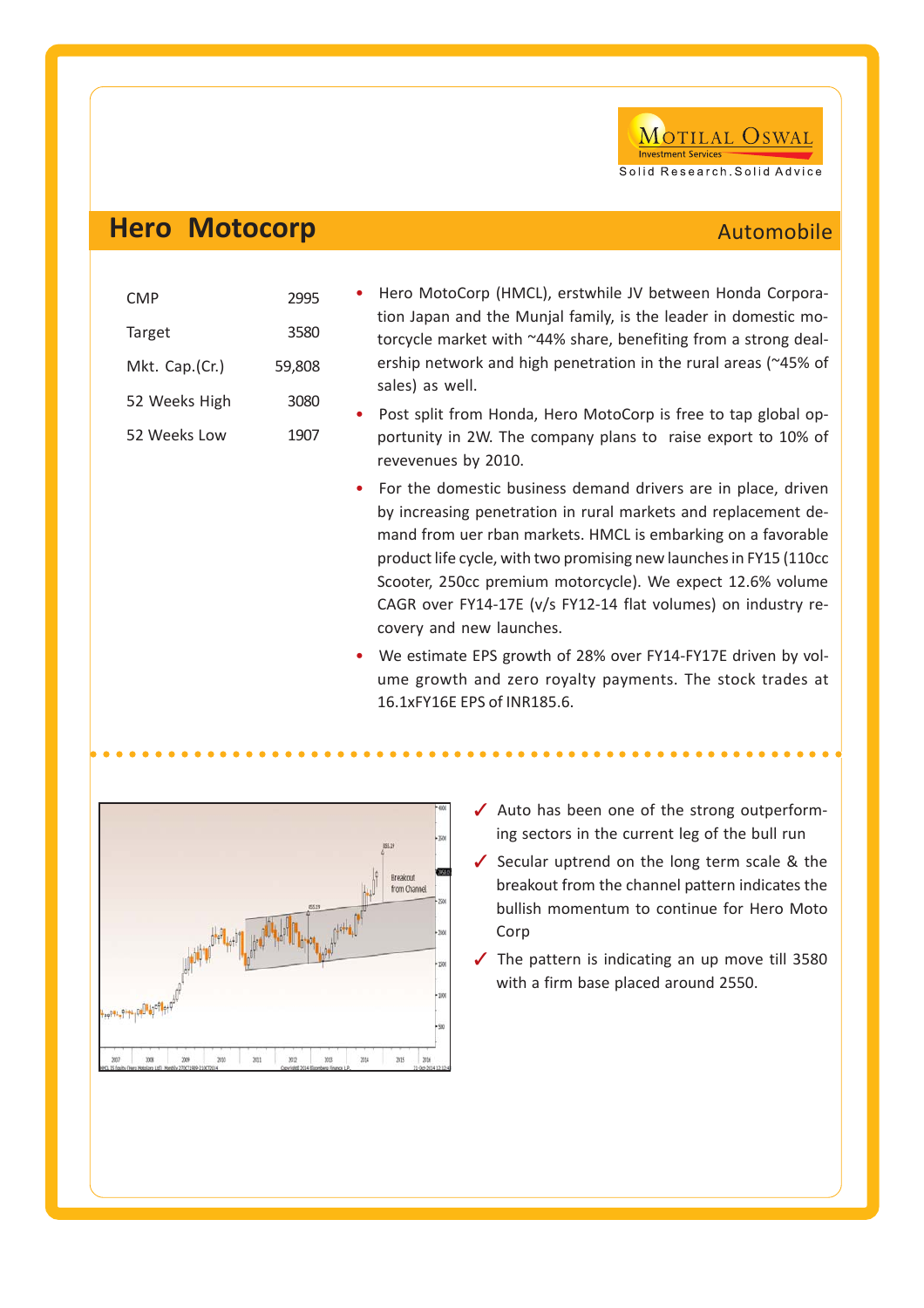

### **Hero Motocorp**

| Automobile |  |  |
|------------|--|--|
|            |  |  |
|            |  |  |
|            |  |  |

| CMP            | 2995   |
|----------------|--------|
| Target         | 3580   |
| Mkt. Cap.(Cr.) | 59.808 |
| 52 Weeks High  | 3080   |
| 52 Weeks Low   | 1907   |
|                |        |

- Hero MotoCorp (HMCL), erstwhile JV between Honda Corporation Japan and the Munjal family, is the leader in domestic motorcycle market with ~44% share, benefiting from a strong dealership network and high penetration in the rural areas (~45% of sales) as well.
- Post split from Honda, Hero MotoCorp is free to tap global opportunity in 2W. The company plans to raise export to 10% of revevenues by 2010.
- For the domestic business demand drivers are in place, driven by increasing penetration in rural markets and replacement demand from uer rban markets. HMCL is embarking on a favorable product life cycle, with two promising new launches in FY15 (110cc Scooter, 250cc premium motorcycle). We expect 12.6% volume CAGR over FY14-17E (v/s FY12-14 flat volumes) on industry recovery and new launches.
- We estimate EPS growth of 28% over FY14-FY17E driven by volume growth and zero royalty payments. The stock trades at 16.1xFY16E EPS of INR185.6.

○○○○○○○○○○○○○○○○○○○○○○○○○○○ ○○○○○○○○○○○○○○○○○○○○○○○○○○○○○○○○



- $\checkmark$  Auto has been one of the strong outperforming sectors in the current leg of the bull run
- Secular uptrend on the long term scale  $&$  the breakout from the channel pattern indicates the bullish momentum to continue for Hero Moto Corp
- $\checkmark$  The pattern is indicating an up move till 3580 with a firm base placed around 2550.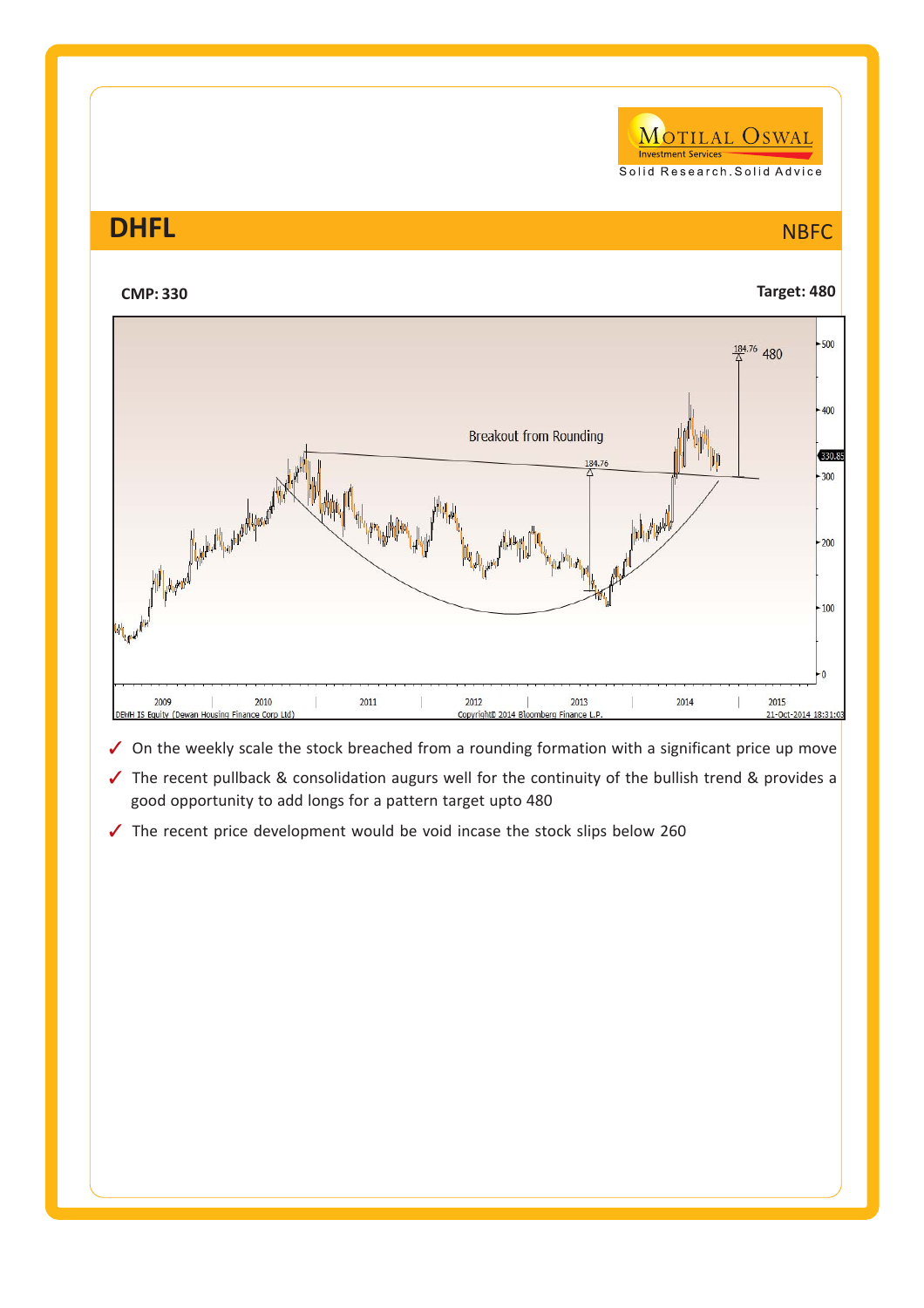MOTILAL OSWAL **Investment Service** Solid Research. Solid Advice

## **DHFL** NBFC



- $\checkmark$  On the weekly scale the stock breached from a rounding formation with a significant price up move
- $\checkmark$  The recent pullback & consolidation augurs well for the continuity of the bullish trend & provides a good opportunity to add longs for a pattern target upto 480
- $\checkmark$  The recent price development would be void incase the stock slips below 260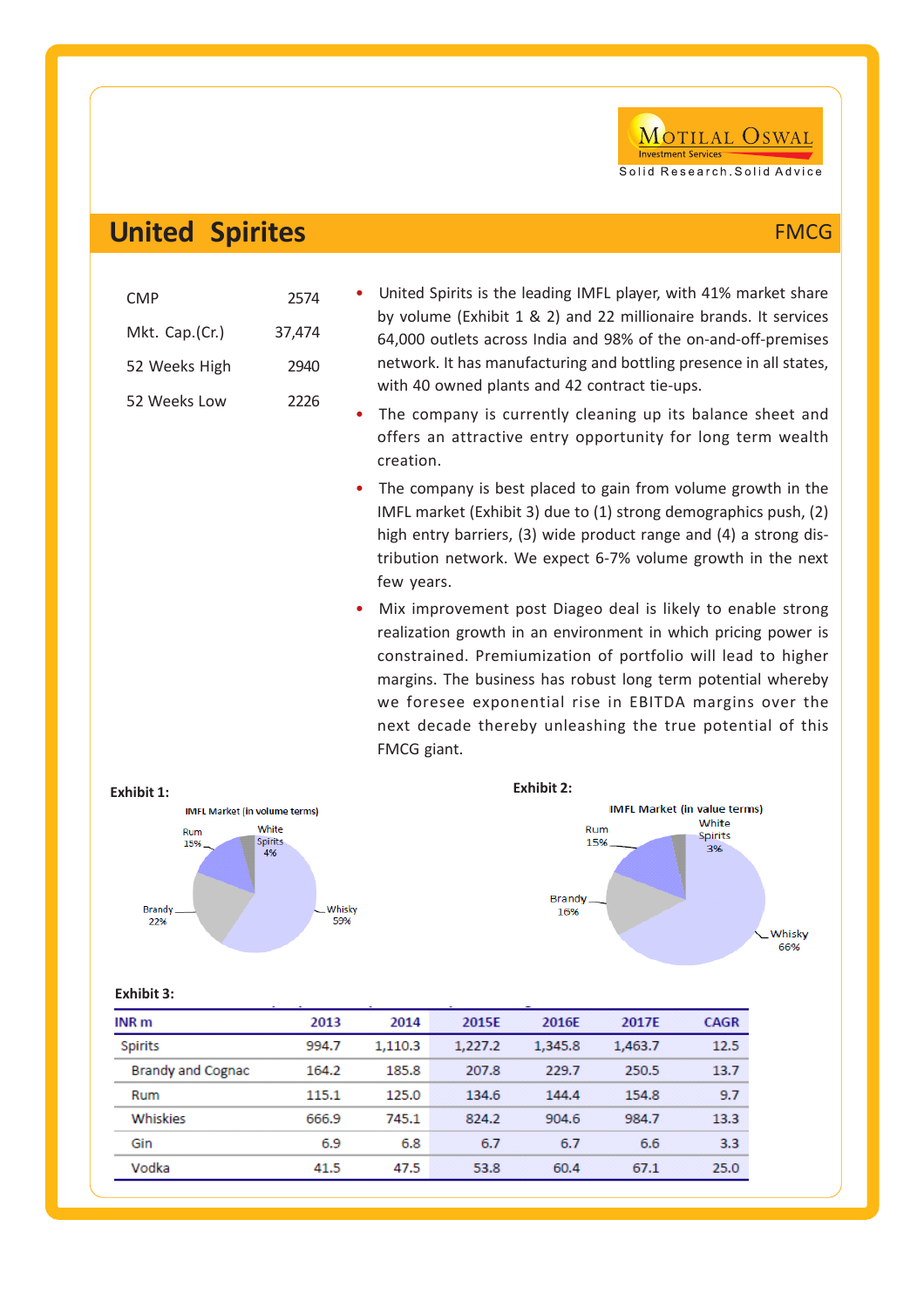## **United Spirites** FMCG

| CMP            | 2574   |
|----------------|--------|
| Mkt. Cap.(Cr.) | 37,474 |
| 52 Weeks High  | 2940   |
| 52 Weeks Low   | 2226   |

- United Spirits is the leading IMFL player, with 41% market share by volume (Exhibit 1 & 2) and 22 millionaire brands. It services 64,000 outlets across India and 98% of the on-and-off-premises network. It has manufacturing and bottling presence in all states, with 40 owned plants and 42 contract tie-ups.
- The company is currently cleaning up its balance sheet and offers an attractive entry opportunity for long term wealth creation.
- The company is best placed to gain from volume growth in the IMFL market (Exhibit 3) due to (1) strong demographics push, (2) high entry barriers, (3) wide product range and (4) a strong distribution network. We expect 6-7% volume growth in the next few years.
- Mix improvement post Diageo deal is likely to enable strong realization growth in an environment in which pricing power is constrained. Premiumization of portfolio will lead to higher margins. The business has robust long term potential whereby we foresee exponential rise in EBITDA margins over the next decade thereby unleashing the true potential of this FMCG giant.



| <b>Exhibit 3:</b> |  |  |
|-------------------|--|--|
|                   |  |  |

| INR m                    | 2013  | 2014    | 2015E   | 2016E   | 2017E   | <b>CAGR</b> |
|--------------------------|-------|---------|---------|---------|---------|-------------|
| <b>Spirits</b>           | 994.7 | 1.110.3 | 1.227.2 | 1,345.8 | 1,463.7 | 12.5        |
| <b>Brandy and Cognac</b> | 164.2 | 185.8   | 207.8   | 229.7   | 250.5   | 13.7        |
| Rum                      | 115.1 | 125.0   | 134.6   | 144.4   | 154.8   | 9.7         |
| Whiskies                 | 666.9 | 745.1   | 824.2   | 904.6   | 984.7   | 13.3        |
| Gin                      | 6.9   | 6.8     | 6.7     | 6.7     | 6.6     | 3.3         |
| Vodka                    | 41.5  | 47.5    | 53.8    | 60.4    | 67.1    | 25.0        |

MOTILAL OSWAL

Solid Research, Solid Advice

**Investment Services**